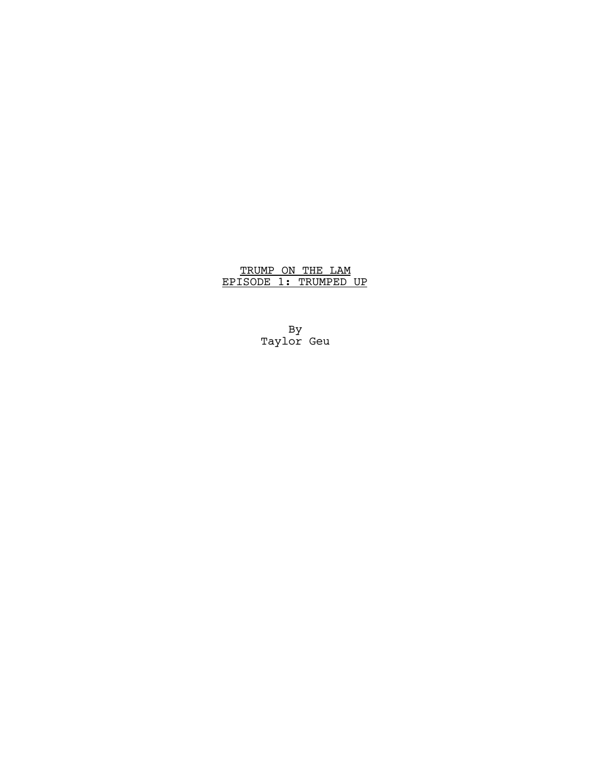# TRUMP ON THE LAM EPISODE 1: TRUMPED UP

By Taylor Geu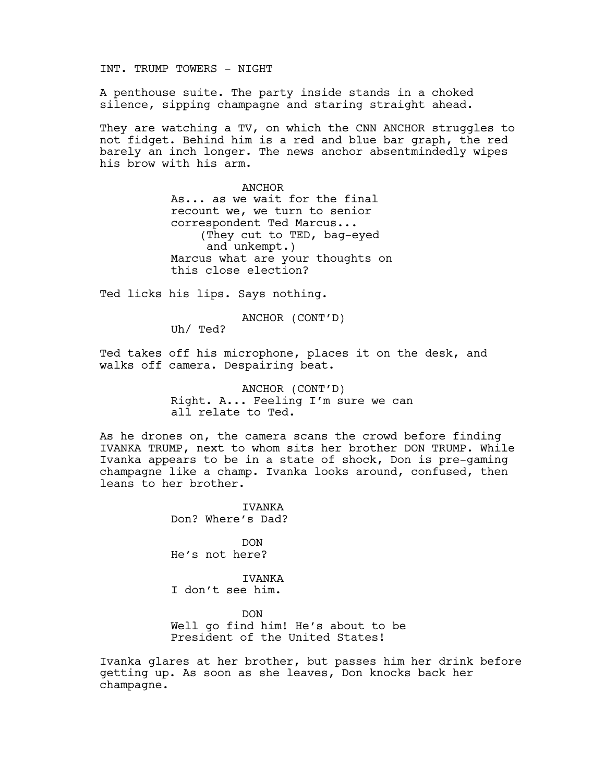INT. TRUMP TOWERS - NIGHT

A penthouse suite. The party inside stands in a choked silence, sipping champagne and staring straight ahead.

They are watching a TV, on which the CNN ANCHOR struggles to not fidget. Behind him is a red and blue bar graph, the red barely an inch longer. The news anchor absentmindedly wipes his brow with his arm.

> ANCHOR As... as we wait for the final recount we, we turn to senior correspondent Ted Marcus... (They cut to TED, bag-eyed and unkempt.) Marcus what are your thoughts on this close election?

Ted licks his lips. Says nothing.

ANCHOR (CONT'D)

Uh/ Ted?

Ted takes off his microphone, places it on the desk, and walks off camera. Despairing beat.

> ANCHOR (CONT'D) Right. A... Feeling I'm sure we can all relate to Ted.

As he drones on, the camera scans the crowd before finding IVANKA TRUMP, next to whom sits her brother DON TRUMP. While Ivanka appears to be in a state of shock, Don is pre-gaming champagne like a champ. Ivanka looks around, confused, then leans to her brother.

> IVANKA Don? Where's Dad?

DON He's not here?

**TVANKA** I don't see him.

DON Well go find him! He's about to be President of the United States!

Ivanka glares at her brother, but passes him her drink before getting up. As soon as she leaves, Don knocks back her champagne.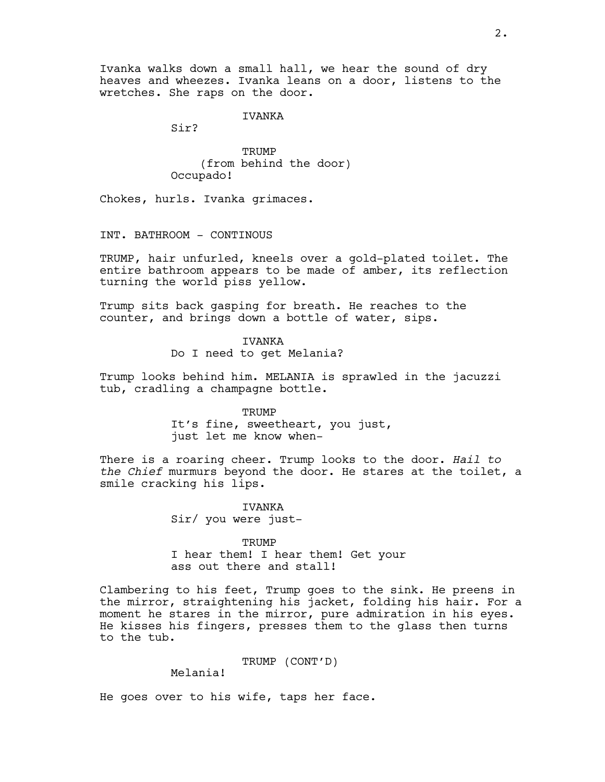Ivanka walks down a small hall, we hear the sound of dry heaves and wheezes. Ivanka leans on a door, listens to the wretches. She raps on the door.

IVANKA

Sir?

**TRUMP** (from behind the door) Occupado!

Chokes, hurls. Ivanka grimaces.

INT. BATHROOM - CONTINOUS

TRUMP, hair unfurled, kneels over a gold-plated toilet. The entire bathroom appears to be made of amber, its reflection turning the world piss yellow.

Trump sits back gasping for breath. He reaches to the counter, and brings down a bottle of water, sips.

> IVANKA Do I need to get Melania?

Trump looks behind him. MELANIA is sprawled in the jacuzzi tub, cradling a champagne bottle.

> **TRUMP** It's fine, sweetheart, you just, just let me know when-

There is a roaring cheer. Trump looks to the door. *Hail to the Chief* murmurs beyond the door. He stares at the toilet, a smile cracking his lips.

> IVANKA Sir/ you were just-

**TRUMP** I hear them! I hear them! Get your ass out there and stall!

Clambering to his feet, Trump goes to the sink. He preens in the mirror, straightening his jacket, folding his hair. For a moment he stares in the mirror, pure admiration in his eyes. He kisses his fingers, presses them to the glass then turns to the tub.

TRUMP (CONT'D)

Melania!

He goes over to his wife, taps her face.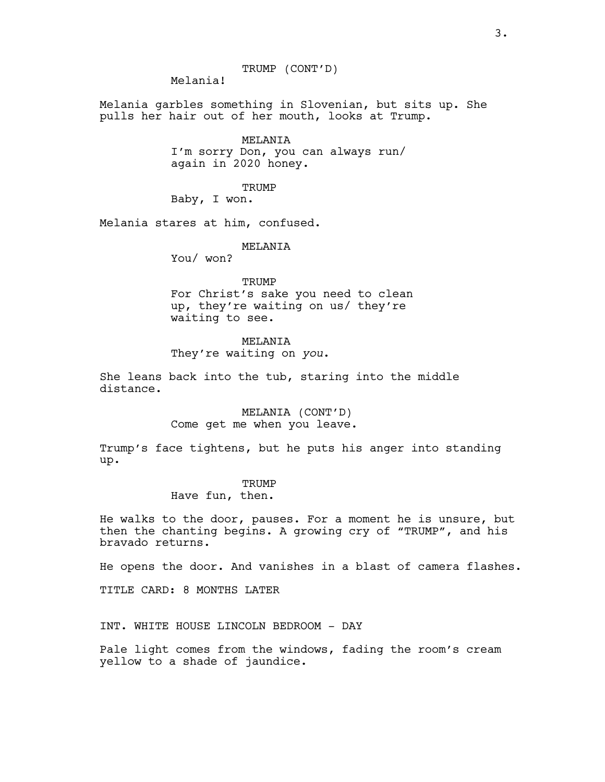TRUMP (CONT'D)

Melania!

Melania garbles something in Slovenian, but sits up. She pulls her hair out of her mouth, looks at Trump.

> MELANIA I'm sorry Don, you can always run/ again in 2020 honey.

> > **TRUMP**

Baby, I won.

Melania stares at him, confused.

MELANIA

You/ won?

**TRUMP** For Christ's sake you need to clean up, they're waiting on us/ they're waiting to see.

## MELANIA

They're waiting on *you*.

She leans back into the tub, staring into the middle distance.

> MELANIA (CONT'D) Come get me when you leave.

Trump's face tightens, but he puts his anger into standing up.

## **TRUMP**

Have fun, then.

He walks to the door, pauses. For a moment he is unsure, but then the chanting begins. A growing cry of "TRUMP", and his bravado returns.

He opens the door. And vanishes in a blast of camera flashes.

TITLE CARD: 8 MONTHS LATER

INT. WHITE HOUSE LINCOLN BEDROOM - DAY

Pale light comes from the windows, fading the room's cream yellow to a shade of jaundice.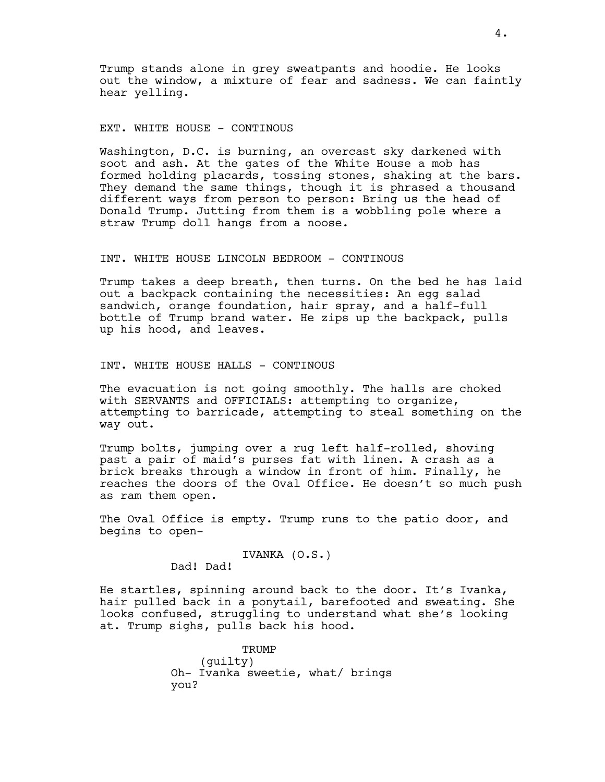Trump stands alone in grey sweatpants and hoodie. He looks out the window, a mixture of fear and sadness. We can faintly hear yelling.

## EXT. WHITE HOUSE - CONTINOUS

Washington, D.C. is burning, an overcast sky darkened with soot and ash. At the gates of the White House a mob has formed holding placards, tossing stones, shaking at the bars. They demand the same things, though it is phrased a thousand different ways from person to person: Bring us the head of Donald Trump. Jutting from them is a wobbling pole where a straw Trump doll hangs from a noose.

#### INT. WHITE HOUSE LINCOLN BEDROOM - CONTINOUS

Trump takes a deep breath, then turns. On the bed he has laid out a backpack containing the necessities: An egg salad sandwich, orange foundation, hair spray, and a half-full bottle of Trump brand water. He zips up the backpack, pulls up his hood, and leaves.

#### INT. WHITE HOUSE HALLS - CONTINOUS

The evacuation is not going smoothly. The halls are choked with SERVANTS and OFFICIALS: attempting to organize, attempting to barricade, attempting to steal something on the way out.

Trump bolts, jumping over a rug left half-rolled, shoving past a pair of maid's purses fat with linen. A crash as a brick breaks through a window in front of him. Finally, he reaches the doors of the Oval Office. He doesn't so much push as ram them open.

The Oval Office is empty. Trump runs to the patio door, and begins to open-

# IVANKA (O.S.)

Dad! Dad!

He startles, spinning around back to the door. It's Ivanka, hair pulled back in a ponytail, barefooted and sweating. She looks confused, struggling to understand what she's looking at. Trump sighs, pulls back his hood.

> **TRUMP** (guilty) Oh- Ivanka sweetie, what/ brings you?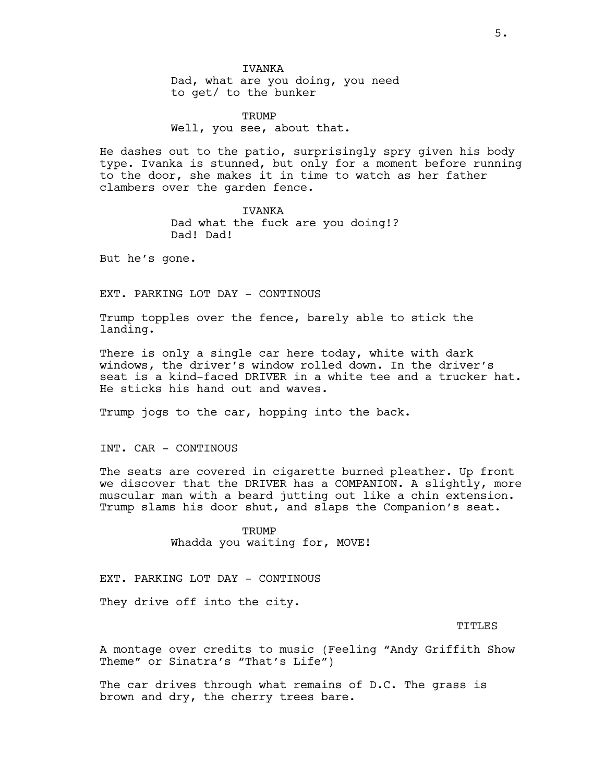IVANKA

Dad, what are you doing, you need to get/ to the bunker

**TRUMP** Well, you see, about that.

He dashes out to the patio, surprisingly spry given his body type. Ivanka is stunned, but only for a moment before running to the door, she makes it in time to watch as her father clambers over the garden fence.

IVANKA

Dad what the fuck are you doing!? Dad! Dad!

But he's gone.

EXT. PARKING LOT DAY - CONTINOUS

Trump topples over the fence, barely able to stick the landing.

There is only a single car here today, white with dark windows, the driver's window rolled down. In the driver's seat is a kind-faced DRIVER in a white tee and a trucker hat. He sticks his hand out and waves.

Trump jogs to the car, hopping into the back.

INT. CAR - CONTINOUS

The seats are covered in cigarette burned pleather. Up front we discover that the DRIVER has a COMPANION. A slightly, more muscular man with a beard jutting out like a chin extension. Trump slams his door shut, and slaps the Companion's seat.

> **TRUMP** Whadda you waiting for, MOVE!

EXT. PARKING LOT DAY - CONTINOUS

They drive off into the city.

TITLES

A montage over credits to music (Feeling "Andy Griffith Show Theme" or Sinatra's "That's Life")

The car drives through what remains of D.C. The grass is brown and dry, the cherry trees bare.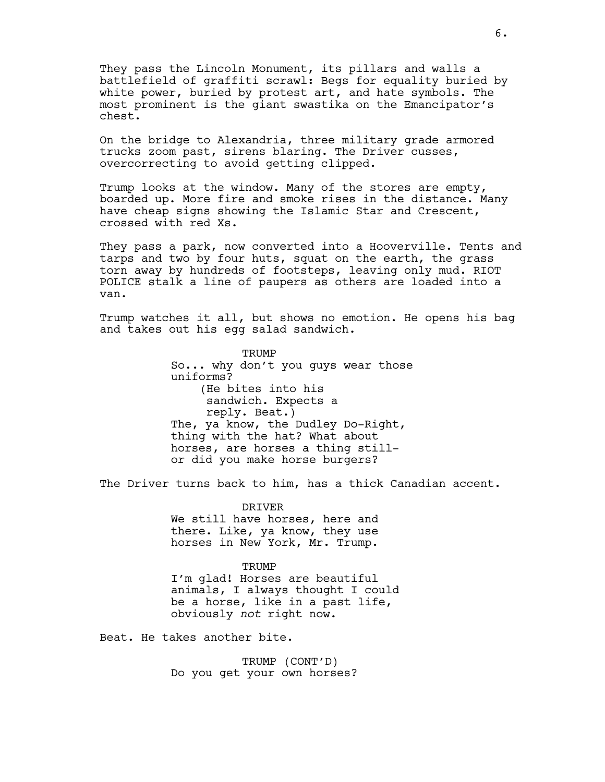They pass the Lincoln Monument, its pillars and walls a battlefield of graffiti scrawl: Begs for equality buried by white power, buried by protest art, and hate symbols. The most prominent is the giant swastika on the Emancipator's chest.

On the bridge to Alexandria, three military grade armored trucks zoom past, sirens blaring. The Driver cusses, overcorrecting to avoid getting clipped.

Trump looks at the window. Many of the stores are empty, boarded up. More fire and smoke rises in the distance. Many have cheap signs showing the Islamic Star and Crescent, crossed with red Xs.

They pass a park, now converted into a Hooverville. Tents and tarps and two by four huts, squat on the earth, the grass torn away by hundreds of footsteps, leaving only mud. RIOT POLICE stalk a line of paupers as others are loaded into a van.

Trump watches it all, but shows no emotion. He opens his bag and takes out his egg salad sandwich.

> TRUMP So... why don't you guys wear those uniforms? (He bites into his sandwich. Expects a reply. Beat.) The, ya know, the Dudley Do-Right, thing with the hat? What about horses, are horses a thing stillor did you make horse burgers?

The Driver turns back to him, has a thick Canadian accent.

DRIVER We still have horses, here and there. Like, ya know, they use horses in New York, Mr. Trump.

#### **TRUMP**

I'm glad! Horses are beautiful animals, I always thought I could be a horse, like in a past life, obviously *not* right now.

Beat. He takes another bite.

TRUMP (CONT'D) Do you get your own horses?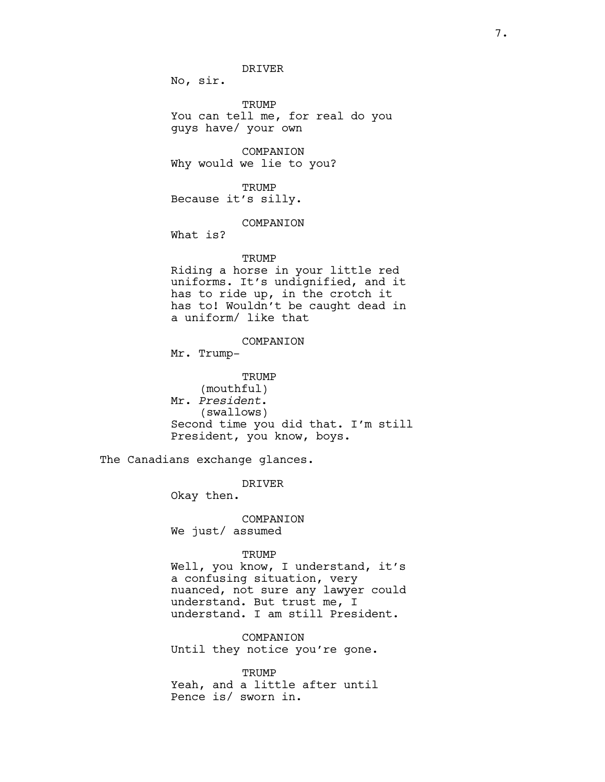DRIVER

No, sir.

TRUMP You can tell me, for real do you guys have/ your own

COMPANION Why would we lie to you?

**TRUMP** Because it's silly.

## COMPANION

What is?

## **TRUMP**

Riding a horse in your little red uniforms. It's undignified, and it has to ride up, in the crotch it has to! Wouldn't be caught dead in a uniform/ like that

## COMPANION

Mr. Trump-

TRUMP (mouthful) Mr. *President*. (swallows) Second time you did that. I'm still President, you know, boys.

The Canadians exchange glances.

DRIVER

Okay then.

COMPANION We just/ assumed

#### TRUMP

Well, you know, I understand, it's a confusing situation, very nuanced, not sure any lawyer could understand. But trust me, I understand. I am still President.

COMPANION Until they notice you're gone.

**TRUMP** Yeah, and a little after until Pence is/ sworn in.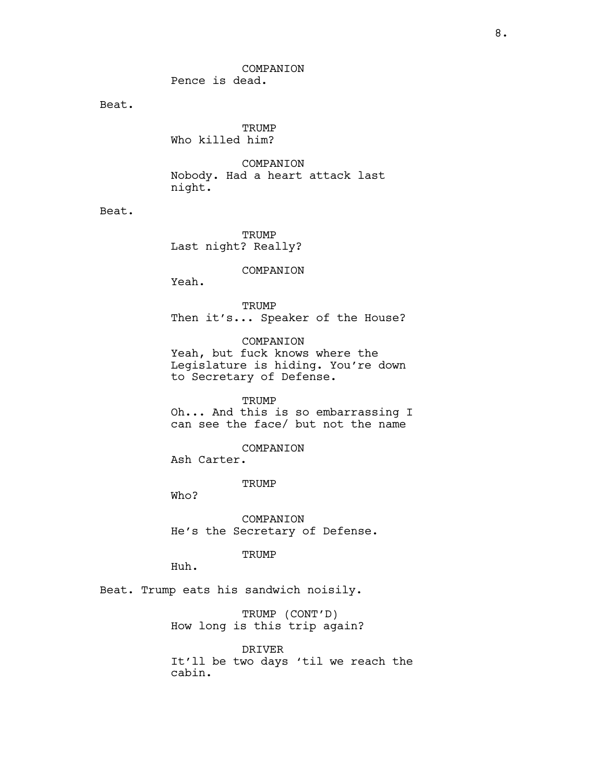COMPANION

Pence is dead.

Beat.

**TRUMP** Who killed him?

COMPANION Nobody. Had a heart attack last night.

Beat.

**TRUMP** Last night? Really?

COMPANION

Yeah.

**TRUMP** Then it's... Speaker of the House?

COMPANION Yeah, but fuck knows where the Legislature is hiding. You're down to Secretary of Defense.

TRUMP Oh... And this is so embarrassing I can see the face/ but not the name

COMPANION Ash Carter.

TRUMP

Who?

COMPANION He's the Secretary of Defense.

TRUMP

Huh.

Beat. Trump eats his sandwich noisily.

TRUMP (CONT'D) How long is this trip again?

DRIVER It'll be two days 'til we reach the cabin.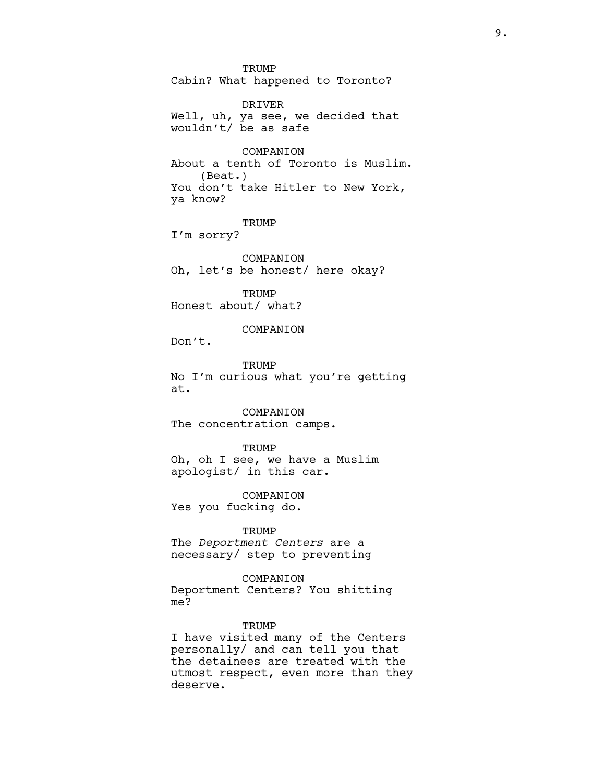**TRUMP** Cabin? What happened to Toronto?

DRIVER Well, uh, ya see, we decided that wouldn't/ be as safe

COMPANION About a tenth of Toronto is Muslim. (Beat.) You don't take Hitler to New York, ya know?

TRUMP

I'm sorry?

COMPANION Oh, let's be honest/ here okay?

**TRUMP** Honest about/ what?

COMPANION

Don't.

**TRUMP** No I'm curious what you're getting at.

COMPANION The concentration camps.

**TRUMP** 

Oh, oh I see, we have a Muslim apologist/ in this car.

COMPANION Yes you fucking do.

TRUMP

The *Deportment Centers* are a necessary/ step to preventing

COMPANION

Deportment Centers? You shitting me?

#### TRUMP

I have visited many of the Centers personally/ and can tell you that the detainees are treated with the utmost respect, even more than they deserve.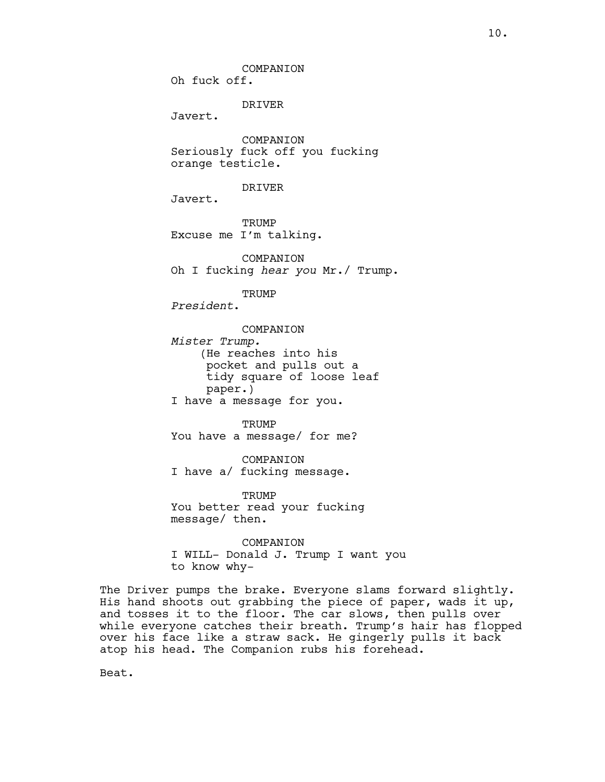COMPANION Oh fuck off.

DRIVER

Javert.

COMPANION Seriously fuck off you fucking orange testicle.

#### DRIVER

Javert.

**TRUMP** Excuse me I'm talking.

**COMPANTON** Oh I fucking *hear you* Mr./ Trump.

TRUMP

*President*.

COMPANION *Mister Trump.* (He reaches into his pocket and pulls out a tidy square of loose leaf paper.) I have a message for you.

TRUMP You have a message/ for me?

COMPANION I have a/ fucking message.

**TRUMP** You better read your fucking message/ then.

COMPANION I WILL- Donald J. Trump I want you to know why-

The Driver pumps the brake. Everyone slams forward slightly. His hand shoots out grabbing the piece of paper, wads it up, and tosses it to the floor. The car slows, then pulls over while everyone catches their breath. Trump's hair has flopped over his face like a straw sack. He gingerly pulls it back atop his head. The Companion rubs his forehead.

Beat.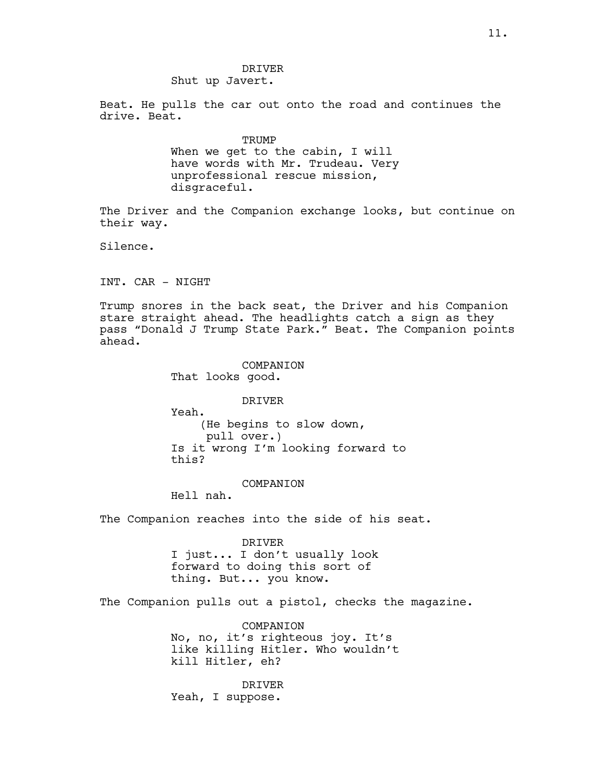# DRIVER

Shut up Javert.

Beat. He pulls the car out onto the road and continues the drive. Beat.

> **TRUMP** When we get to the cabin, I will have words with Mr. Trudeau. Very unprofessional rescue mission, disgraceful.

The Driver and the Companion exchange looks, but continue on their way.

Silence.

INT. CAR - NIGHT

Trump snores in the back seat, the Driver and his Companion stare straight ahead. The headlights catch a sign as they pass "Donald J Trump State Park." Beat. The Companion points ahead.

> COMPANION That looks good.

> > DRIVER

Yeah. (He begins to slow down, pull over.) Is it wrong I'm looking forward to this?

COMPANION

Hell nah.

The Companion reaches into the side of his seat.

DRIVER I just... I don't usually look forward to doing this sort of thing. But... you know.

The Companion pulls out a pistol, checks the magazine.

COMPANION No, no, it's righteous joy. It's like killing Hitler. Who wouldn't kill Hitler, eh?

DRIVER Yeah, I suppose.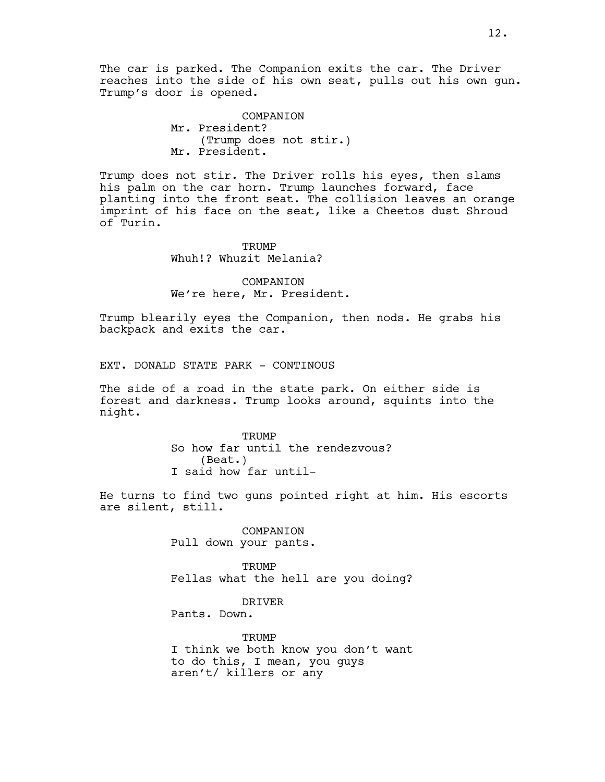The car is parked. The Companion exits the car. The Driver reaches into the side of his own seat, pulls out his own gun. Trump's door is opened.

> COMPANION Mr. President? (Trump does not stir.) Mr. President.

Trump does not stir. The Driver rolls his eyes, then slams his palm on the car horn. Trump launches forward, face planting into the front seat. The collision leaves an orange imprint of his face on the seat, like a Cheetos dust Shroud of Turin.

> **TRUMP** Whuh!? Whuzit Melania?

COMPANION We're here, Mr. President.

Trump blearily eyes the Companion, then nods. He grabs his backpack and exits the car.

EXT. DONALD STATE PARK - CONTINOUS

The side of a road in the state park. On either side is forest and darkness. Trump looks around, squints into the night.

> TRUMP So how far until the rendezvous? (Beat.) I said how far until-

He turns to find two guns pointed right at him. His escorts are silent, still.

> COMPANION Pull down your pants.

**TRUMP** Fellas what the hell are you doing?

DRIVER

Pants. Down.

TRUMP I think we both know you don't want to do this, I mean, you guys aren't/ killers or any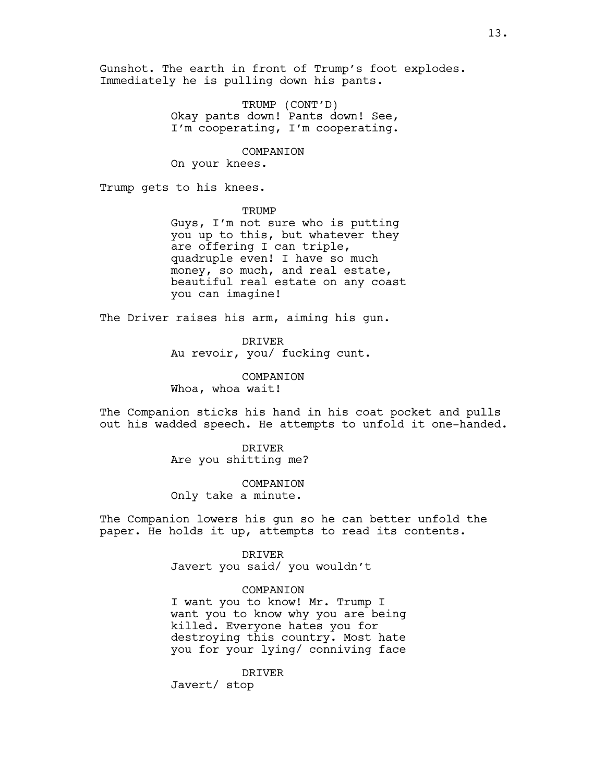Gunshot. The earth in front of Trump's foot explodes. Immediately he is pulling down his pants.

> TRUMP (CONT'D) Okay pants down! Pants down! See, I'm cooperating, I'm cooperating.

COMPANION On your knees.

Trump gets to his knees.

**TRUMP** 

Guys, I'm not sure who is putting you up to this, but whatever they are offering I can triple, quadruple even! I have so much money, so much, and real estate, beautiful real estate on any coast you can imagine!

The Driver raises his arm, aiming his gun.

DRIVER Au revoir, you/ fucking cunt.

COMPANION Whoa, whoa wait!

The Companion sticks his hand in his coat pocket and pulls out his wadded speech. He attempts to unfold it one-handed.

> DRIVER Are you shitting me?

COMPANION Only take a minute.

The Companion lowers his gun so he can better unfold the paper. He holds it up, attempts to read its contents.

> DRIVER Javert you said/ you wouldn't

#### COMPANION

I want you to know! Mr. Trump I want you to know why you are being killed. Everyone hates you for destroying this country. Most hate you for your lying/ conniving face

DRIVER

Javert/ stop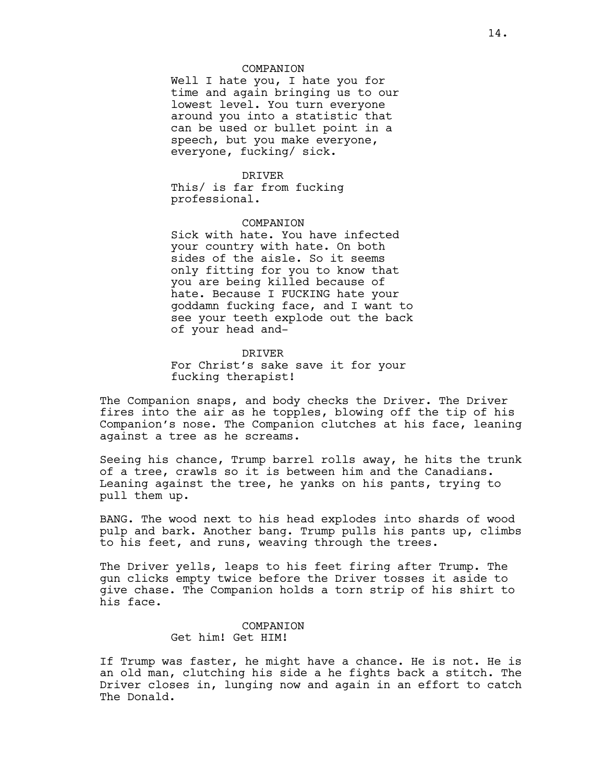#### COMPANION

Well I hate you, I hate you for time and again bringing us to our lowest level. You turn everyone around you into a statistic that can be used or bullet point in a speech, but you make everyone, everyone, fucking/ sick.

#### DRIVER

This/ is far from fucking professional.

#### COMPANION

Sick with hate. You have infected your country with hate. On both sides of the aisle. So it seems only fitting for you to know that you are being killed because of hate. Because I FUCKING hate your goddamn fucking face, and I want to see your teeth explode out the back of your head and-

#### DRIVER

For Christ's sake save it for your fucking therapist!

The Companion snaps, and body checks the Driver. The Driver fires into the air as he topples, blowing off the tip of his Companion's nose. The Companion clutches at his face, leaning against a tree as he screams.

Seeing his chance, Trump barrel rolls away, he hits the trunk of a tree, crawls so it is between him and the Canadians. Leaning against the tree, he yanks on his pants, trying to pull them up.

BANG. The wood next to his head explodes into shards of wood pulp and bark. Another bang. Trump pulls his pants up, climbs to his feet, and runs, weaving through the trees.

The Driver yells, leaps to his feet firing after Trump. The gun clicks empty twice before the Driver tosses it aside to give chase. The Companion holds a torn strip of his shirt to his face.

## COMPANION Get him! Get HIM!

If Trump was faster, he might have a chance. He is not. He is an old man, clutching his side a he fights back a stitch. The Driver closes in, lunging now and again in an effort to catch The Donald.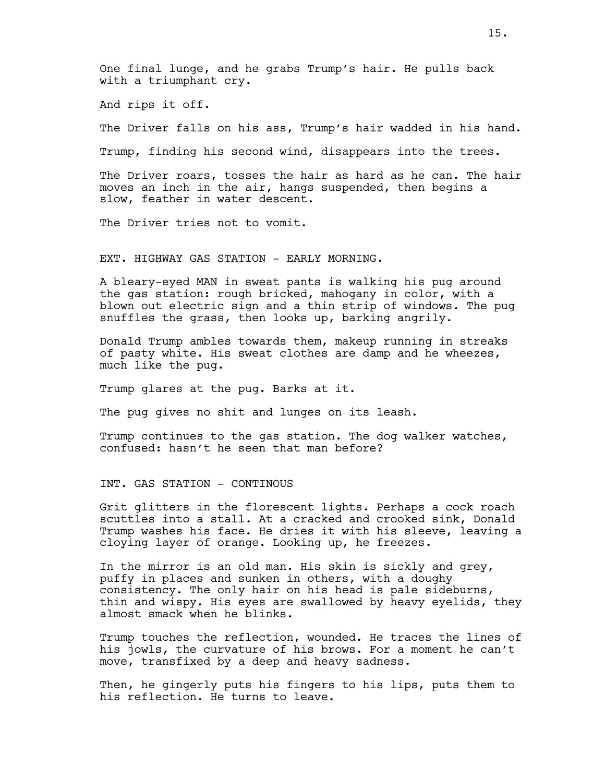One final lunge, and he grabs Trump's hair. He pulls back with a triumphant cry.

And rips it off.

The Driver falls on his ass, Trump's hair wadded in his hand.

Trump, finding his second wind, disappears into the trees.

The Driver roars, tosses the hair as hard as he can. The hair moves an inch in the air, hangs suspended, then begins a slow, feather in water descent.

The Driver tries not to vomit.

EXT. HIGHWAY GAS STATION - EARLY MORNING.

A bleary-eyed MAN in sweat pants is walking his pug around the gas station: rough bricked, mahogany in color, with a blown out electric sign and a thin strip of windows. The pug snuffles the grass, then looks up, barking angrily.

Donald Trump ambles towards them, makeup running in streaks of pasty white. His sweat clothes are damp and he wheezes, much like the pug.

Trump glares at the pug. Barks at it.

The pug gives no shit and lunges on its leash.

Trump continues to the gas station. The dog walker watches, confused: hasn't he seen that man before?

INT. GAS STATION - CONTINOUS

Grit glitters in the florescent lights. Perhaps a cock roach scuttles into a stall. At a cracked and crooked sink, Donald Trump washes his face. He dries it with his sleeve, leaving a cloying layer of orange. Looking up, he freezes.

In the mirror is an old man. His skin is sickly and grey, puffy in places and sunken in others, with a doughy consistency. The only hair on his head is pale sideburns, thin and wispy. His eyes are swallowed by heavy eyelids, they almost smack when he blinks.

Trump touches the reflection, wounded. He traces the lines of his jowls, the curvature of his brows. For a moment he can't move, transfixed by a deep and heavy sadness.

Then, he gingerly puts his fingers to his lips, puts them to his reflection. He turns to leave.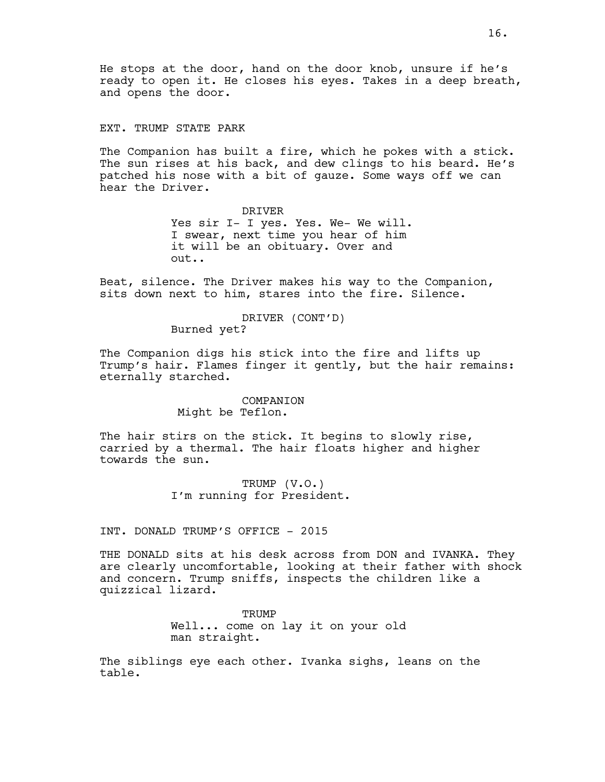He stops at the door, hand on the door knob, unsure if he's ready to open it. He closes his eyes. Takes in a deep breath, and opens the door.

EXT. TRUMP STATE PARK

The Companion has built a fire, which he pokes with a stick. The sun rises at his back, and dew clings to his beard. He's patched his nose with a bit of gauze. Some ways off we can hear the Driver.

> DRIVER Yes sir I- I yes. Yes. We- We will. I swear, next time you hear of him it will be an obituary. Over and out..

Beat, silence. The Driver makes his way to the Companion, sits down next to him, stares into the fire. Silence.

#### DRIVER (CONT'D)

Burned yet?

The Companion digs his stick into the fire and lifts up Trump's hair. Flames finger it gently, but the hair remains: eternally starched.

## COMPANION Might be Teflon.

The hair stirs on the stick. It begins to slowly rise, carried by a thermal. The hair floats higher and higher towards the sun.

> TRUMP (V.O.) I'm running for President.

INT. DONALD TRUMP'S OFFICE - 2015

THE DONALD sits at his desk across from DON and IVANKA. They are clearly uncomfortable, looking at their father with shock and concern. Trump sniffs, inspects the children like a quizzical lizard.

> TRUMP Well... come on lay it on your old man straight.

The siblings eye each other. Ivanka sighs, leans on the table.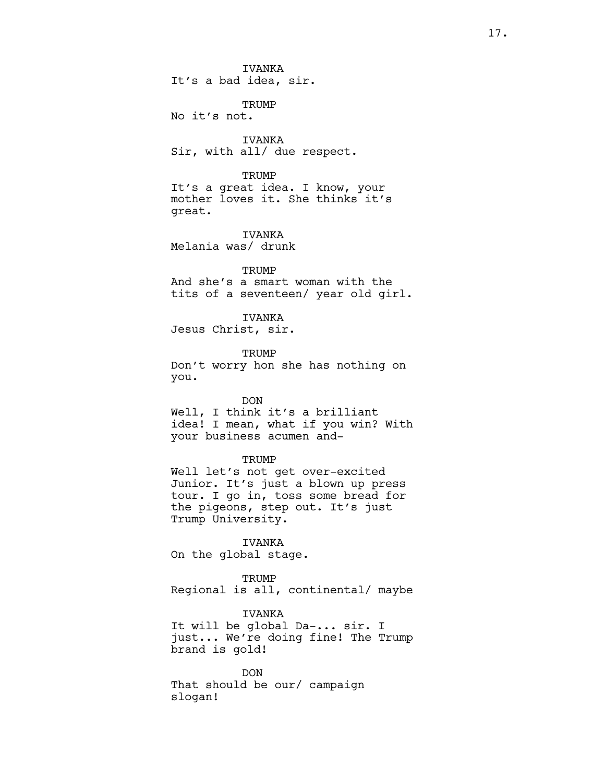IVANKA It's a bad idea, sir.

TRUMP No it's not.

IVANKA Sir, with all/ due respect.

## **TRUMP**

It's a great idea. I know, your mother loves it. She thinks it's great.

IVANKA Melania was/ drunk

#### **TRUMP**

And she's a smart woman with the tits of a seventeen/ year old girl.

## IVANKA

Jesus Christ, sir.

**TRUMP** Don't worry hon she has nothing on

you. DON Well, I think it's a brilliant

idea! I mean, what if you win? With your business acumen and-

#### TRUMP

Well let's not get over-excited Junior. It's just a blown up press tour. I go in, toss some bread for the pigeons, step out. It's just Trump University.

IVANKA On the global stage.

**TRUMP** 

Regional is all, continental/ maybe

## IVANKA

It will be global Da-... sir. I just... We're doing fine! The Trump brand is gold!

DON That should be our/ campaign slogan!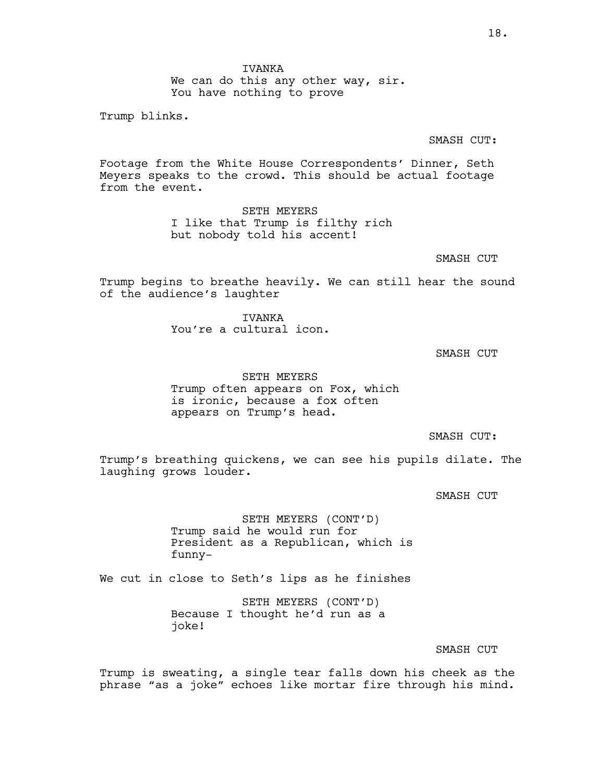IVANKA We can do this any other way, sir. You have nothing to prove

Trump blinks.

SMASH CUT:

Footage from the White House Correspondents' Dinner, Seth Meyers speaks to the crowd. This should be actual footage from the event.

> SETH MEYERS I like that Trump is filthy rich but nobody told his accent!

> > SMASH CUT

Trump begins to breathe heavily. We can still hear the sound of the audience's laughter

> **TVANKA** You're a cultural icon.

> > SMASH CUT

SETH MEYERS Trump often appears on Fox, which is ironic, because a fox often appears on Trump's head.

SMASH CUT:

Trump's breathing quickens, we can see his pupils dilate. The laughing grows louder.

SMASH CUT

SETH MEYERS (CONT'D) Trump said he would run for President as a Republican, which is funny-

We cut in close to Seth's lips as he finishes

SETH MEYERS (CONT'D) Because I thought he'd run as a joke!

SMASH CUT

Trump is sweating, a single tear falls down his cheek as the phrase "as a joke" echoes like mortar fire through his mind.